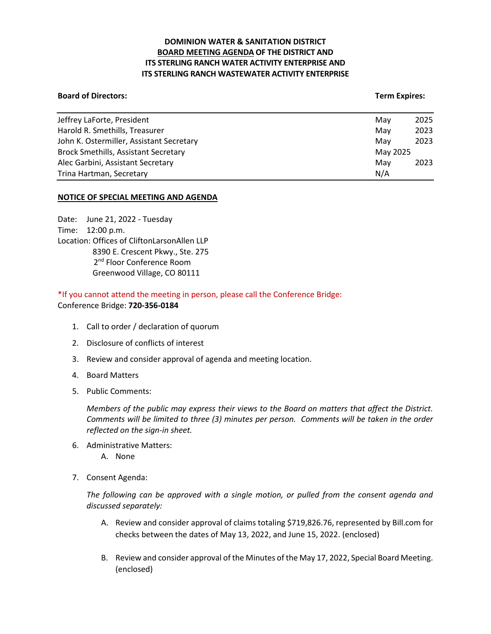# **DOMINION WATER & SANITATION DISTRICT BOARD MEETING AGENDA OF THE DISTRICT AND ITS STERLING RANCH WATER ACTIVITY ENTERPRISE AND ITS STERLING RANCH WASTEWATER ACTIVITY ENTERPRISE**

#### **Board of Directors:** Term Expires: Term Expires: Term Expires: Term Expires: Term Expires: Term Expires: Term Expires: Term Expires: Term Expires: Term Expires: Term Expires: Term Expires: Term Expires: Term Expires: Term

| Jeffrey LaForte, President                  | Mav      | 2025 |
|---------------------------------------------|----------|------|
| Harold R. Smethills, Treasurer              | Mav      | 2023 |
| John K. Ostermiller, Assistant Secretary    | Mav      | 2023 |
| <b>Brock Smethills, Assistant Secretary</b> | May 2025 |      |
| Alec Garbini, Assistant Secretary           | Mav      | 2023 |
| Trina Hartman, Secretary                    | N/A      |      |

### **NOTICE OF SPECIAL MEETING AND AGENDA**

Date: June 21, 2022 - Tuesday Time: 12:00 p.m. Location: Offices of CliftonLarsonAllen LLP 8390 E. Crescent Pkwy., Ste. 275 2<sup>nd</sup> Floor Conference Room Greenwood Village, CO 80111

\*If you cannot attend the meeting in person, please call the Conference Bridge: Conference Bridge: **720-356-0184**

- 1. Call to order / declaration of quorum
- 2. Disclosure of conflicts of interest
- 3. Review and consider approval of agenda and meeting location.
- 4. Board Matters
- 5. Public Comments:

*Members of the public may express their views to the Board on matters that affect the District. Comments will be limited to three (3) minutes per person. Comments will be taken in the order reflected on the sign-in sheet.* 

- 6. Administrative Matters:
	- A. None
- 7. Consent Agenda:

*The following can be approved with a single motion, or pulled from the consent agenda and discussed separately:*

- A. Review and consider approval of claims totaling \$719,826.76, represented by Bill.com for checks between the dates of May 13, 2022, and June 15, 2022. (enclosed)
- B. Review and consider approval of the Minutes of the May 17, 2022, Special Board Meeting. (enclosed)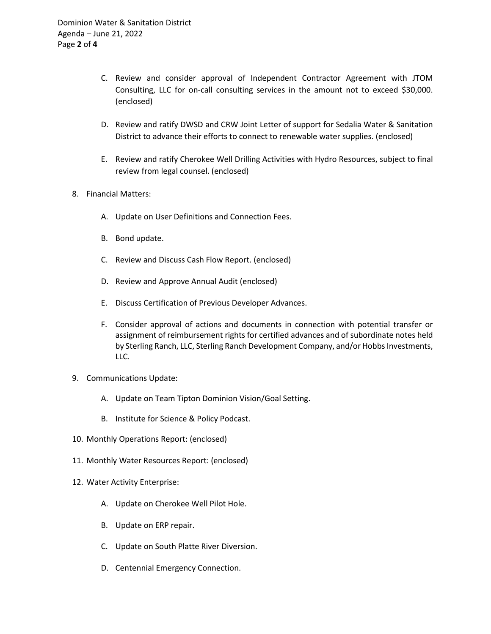- C. Review and consider approval of Independent Contractor Agreement with JTOM Consulting, LLC for on-call consulting services in the amount not to exceed \$30,000. (enclosed)
- D. Review and ratify DWSD and CRW Joint Letter of support for Sedalia Water & Sanitation District to advance their efforts to connect to renewable water supplies. (enclosed)
- E. Review and ratify Cherokee Well Drilling Activities with Hydro Resources, subject to final review from legal counsel. (enclosed)
- 8. Financial Matters:
	- A. Update on User Definitions and Connection Fees.
	- B. Bond update.
	- C. Review and Discuss Cash Flow Report. (enclosed)
	- D. Review and Approve Annual Audit (enclosed)
	- E. Discuss Certification of Previous Developer Advances.
	- F. Consider approval of actions and documents in connection with potential transfer or assignment of reimbursement rights for certified advances and of subordinate notes held by Sterling Ranch, LLC, Sterling Ranch Development Company, and/or Hobbs Investments, LLC.
- 9. Communications Update:
	- A. Update on Team Tipton Dominion Vision/Goal Setting.
	- B. Institute for Science & Policy Podcast.
- 10. Monthly Operations Report: (enclosed)
- 11. Monthly Water Resources Report: (enclosed)
- 12. Water Activity Enterprise:
	- A. Update on Cherokee Well Pilot Hole.
	- B. Update on ERP repair.
	- C. Update on South Platte River Diversion.
	- D. Centennial Emergency Connection.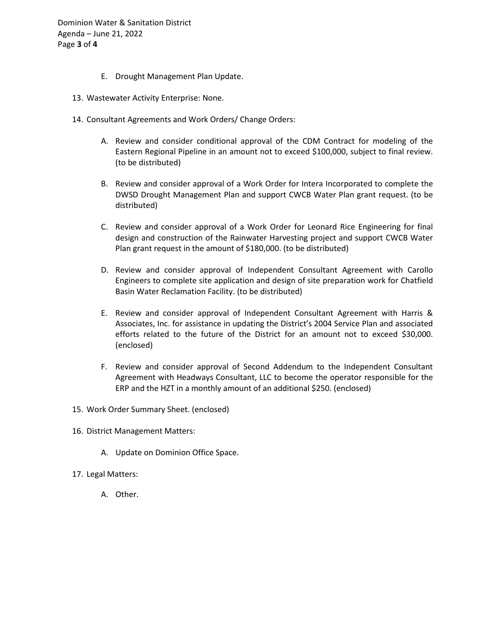Dominion Water & Sanitation District Agenda – June 21, 2022 Page **3** of **4**

- E. Drought Management Plan Update.
- 13. Wastewater Activity Enterprise: None.
- 14. Consultant Agreements and Work Orders/ Change Orders:
	- A. Review and consider conditional approval of the CDM Contract for modeling of the Eastern Regional Pipeline in an amount not to exceed \$100,000, subject to final review. (to be distributed)
	- B. Review and consider approval of a Work Order for Intera Incorporated to complete the DWSD Drought Management Plan and support CWCB Water Plan grant request. (to be distributed)
	- C. Review and consider approval of a Work Order for Leonard Rice Engineering for final design and construction of the Rainwater Harvesting project and support CWCB Water Plan grant request in the amount of \$180,000. (to be distributed)
	- D. Review and consider approval of Independent Consultant Agreement with Carollo Engineers to complete site application and design of site preparation work for Chatfield Basin Water Reclamation Facility. (to be distributed)
	- E. Review and consider approval of Independent Consultant Agreement with Harris & Associates, Inc. for assistance in updating the District's 2004 Service Plan and associated efforts related to the future of the District for an amount not to exceed \$30,000. (enclosed)
	- F. Review and consider approval of Second Addendum to the Independent Consultant Agreement with Headways Consultant, LLC to become the operator responsible for the ERP and the HZT in a monthly amount of an additional \$250. (enclosed)
- 15. Work Order Summary Sheet. (enclosed)
- 16. District Management Matters:
	- A. Update on Dominion Office Space.
- 17. Legal Matters:
	- A. Other.